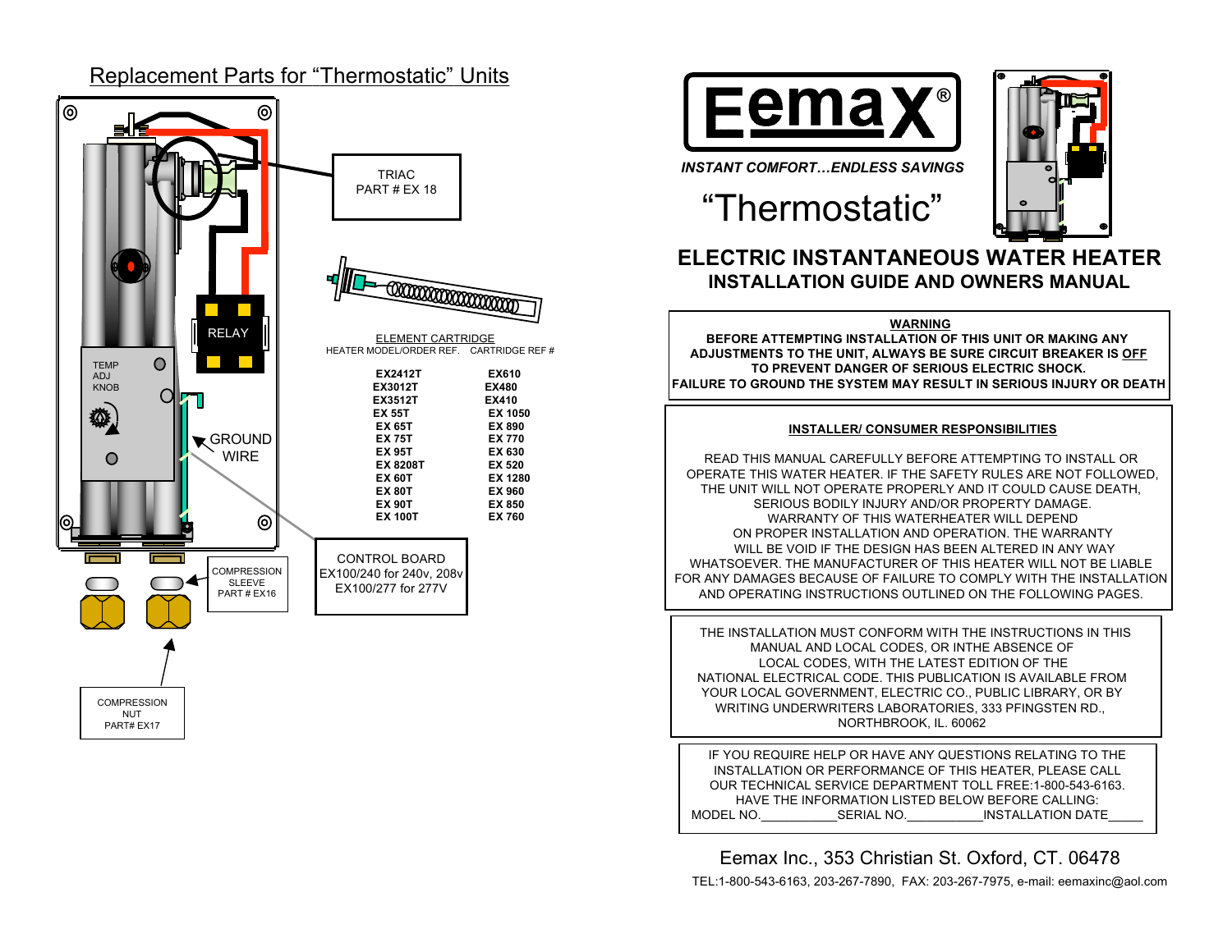#### Replacement Parts for "Thermostatic" Units  $\circledcirc$ ⊚ TRIAC PART # EX 18 **CONTINUES ON THE CONTINUES** RELAY ELEMENT CARTRIDGE HEATER MODEL/ORDER REF. CARTRIDGE REF #  $\bigcirc$ **TEMP EX2412T EX610** ADJ KNOB **EX3012T EX480**  $\Omega$  $EX3512T$ **EX 55T EX 1050** 發. **EX 65T EX 890 K** GROUND **EX 75T EX 770 EX 95T EX 630 WIRF**  $\bullet$ **EX 8208T EX 520**

**COMPRESSION** SLEEVE PART # EX16

⊚

CONTROL BOARD EX100/240 for 240v, 208v EX100/277 for 277V

**EX 60T EX 1280 EX 80T EX 960 EX 90T EX 850 EX 100T EX 760**

**COMPRESSION** NUT PART# EX17

# **Femax**<sup>®</sup>



*INSTANT COMFORT…ENDLESS SAVINGS*

# "Thermostatic"

# **ELECTRIC INSTANTANEOUS WATER HEATER INSTALLATION GUIDE AND OWNERS MANUAL**

#### **WARNING**

**BEFORE ATTEMPTING INSTALLATION OF THIS UNIT OR MAKING ANY ADJUSTMENTS TO THE UNIT, ALWAYS BE SURE CIRCUIT BREAKER IS OFF TO PREVENT DANGER OF SERIOUS ELECTRIC SHOCK. FAILURE TO GROUND THE SYSTEM MAY RESULT IN SERIOUS INJURY OR DEATH**

#### **INSTALLER/ CONSUMER RESPONSIBILITIES**

READ THIS MANUAL CAREFULLY BEFORE ATTEMPTING TO INSTALL OR OPERATE THIS WATER HEATER. IF THE SAFETY RULES ARE NOT FOLLOWED, THE UNIT WILL NOT OPERATE PROPERLY AND IT COULD CAUSE DEATH, SERIOUS BODILY INJURY AND/OR PROPERTY DAMAGE. WARRANTY OF THIS WATERHEATER WILL DEPEND ON PROPER INSTALLATION AND OPERATION. THE WARRANTY WILL BE VOID IF THE DESIGN HAS BEEN ALTERED IN ANY WAY WHATSOEVER. THE MANUFACTURER OF THIS HEATER WILL NOT BE LIABLE FOR ANY DAMAGES BECAUSE OF FAILURE TO COMPLY WITH THE INSTALLATION AND OPERATING INSTRUCTIONS OUTLINED ON THE FOLLOWING PAGES.

THE INSTALLATION MUST CONFORM WITH THE INSTRUCTIONS IN THIS MANUAL AND LOCAL CODES, OR INTHE ABSENCE OF LOCAL CODES, WITH THE LATEST EDITION OF THE NATIONAL ELECTRICAL CODE. THIS PUBLICATION IS AVAILABLE FROM YOUR LOCAL GOVERNMENT, ELECTRIC CO., PUBLIC LIBRARY, OR BY WRITING UNDERWRITERS LABORATORIES, 333 PFINGSTEN RD., NORTHBROOK, IL. 60062

IF YOU REQUIRE HELP OR HAVE ANY QUESTIONS RELATING TO THE INSTALLATION OR PERFORMANCE OF THIS HEATER, PLEASE CALL OUR TECHNICAL SERVICE DEPARTMENT TOLL FREE:1-800-543-6163. HAVE THE INFORMATION LISTED BELOW BEFORE CALLING: MODEL NO.\_\_\_\_\_\_\_\_\_\_\_SERIAL NO.\_\_\_\_\_\_\_\_\_\_\_INSTALLATION DATE\_\_\_\_\_

Eemax Inc., 353 Christian St. Oxford, CT. 06478

TEL:1-800-543-6163, 203-267-7890, FAX: 203-267-7975, e-mail: eemaxinc@aol.com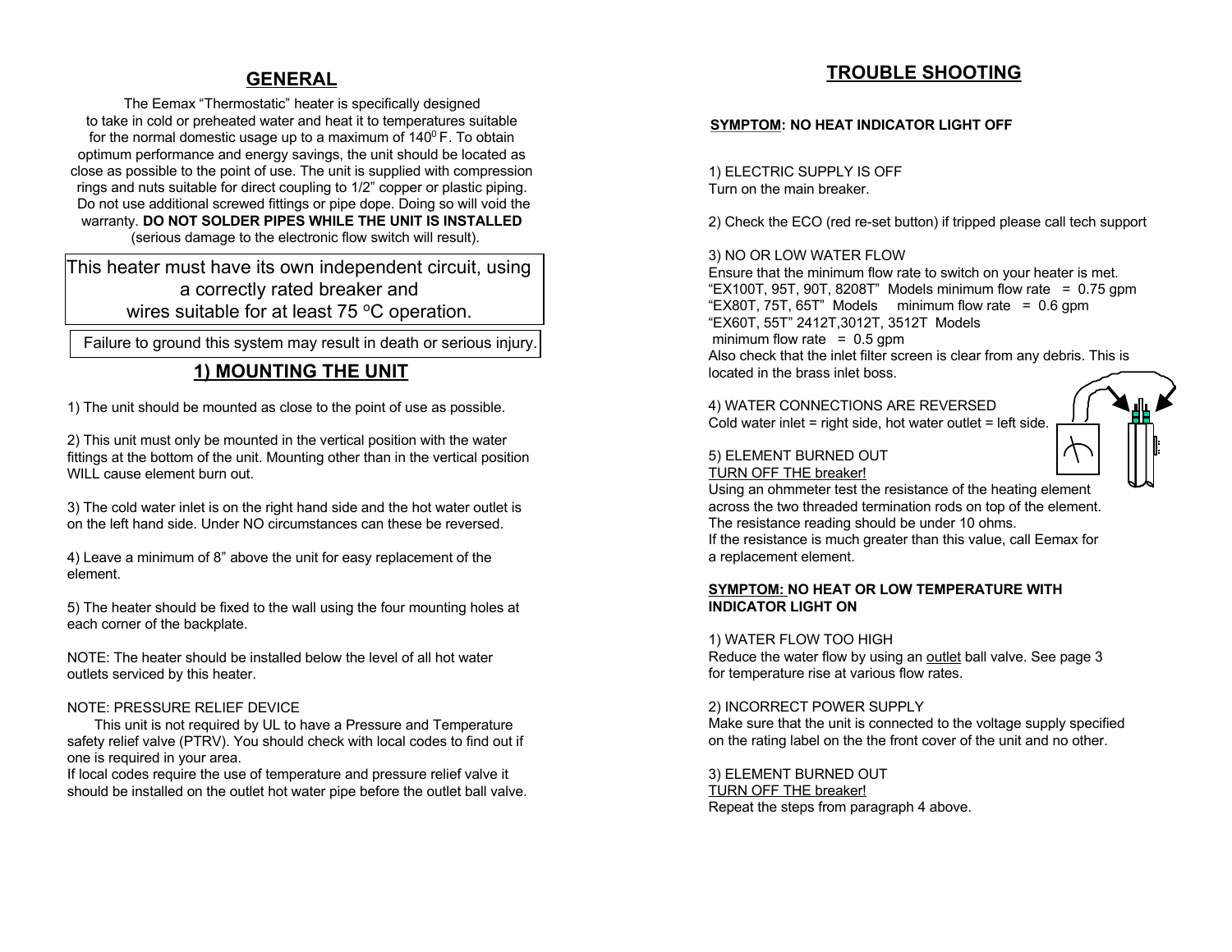#### **GENERAL**

The Eemax "Thermostatic" heater is specifically designed to take in cold or preheated water and heat it to temperatures suitable for the normal domestic usage up to a maximum of  $140^{\circ}$  F. To obtain optimum performance and energy savings, the unit should be located as close as possible to the point of use. The unit is supplied with compression rings and nuts suitable for direct coupling to 1/2" copper or plastic piping. Do not use additional screwed fittings or pipe dope. Doing so will void the warranty. **DO NOT SOLDER PIPES WHILE THE UNIT IS INSTALLED** (serious damage to the electronic flow switch will result).

This heater must have its own independent circuit, using a correctly rated breaker and wires suitable for at least 75 °C operation.

Failure to ground this system may result in death or serious injury.

# **1) MOUNTING THE UNIT**

1) The unit should be mounted as close to the point of use as possible.

2) This unit must only be mounted in the vertical position with the water fittings at the bottom of the unit. Mounting other than in the vertical position WILL cause element burn out.

3) The cold water inlet is on the right hand side and the hot water outlet is on the left hand side. Under NO circumstances can these be reversed.

4) Leave a minimum of 8" above the unit for easy replacement of the element.

5) The heater should be fixed to the wall using the four mounting holes at each corner of the backplate.

NOTE: The heater should be installed below the level of all hot water outlets serviced by this heater.

#### NOTE: PRESSURE RELIEF DEVICE

This unit is not required by UL to have a Pressure and Temperature safety relief valve (PTRV). You should check with local codes to find out if one is required in your area.

If local codes require the use of temperature and pressure relief valve it should be installed on the outlet hot water pipe before the outlet ball valve.

# **TROUBLE SHOOTING**

#### **SYMPTOM: NO HEAT INDICATOR LIGHT OFF**

1) ELECTRIC SUPPLY IS OFF Turn on the main breaker.

2) Check the ECO (red re-set button) if tripped please call tech support

#### 3) NO OR LOW WATER FLOW

Ensure that the minimum flow rate to switch on your heater is met. "EX100T, 95T, 90T, 8208T" Models minimum flow rate  $= 0.75$  gpm "EX80T,  $75T$ ,  $65T$ " Models minimum flow rate = 0.6 gpm "EX60T, 55T" 2412T,3012T, 3512T Models minimum flow rate  $= 0.5$  gpm Also check that the inlet filter screen is clear from any debris. This is located in the brass inlet boss.

4) WATER CONNECTIONS ARE REVERSED Cold water inlet = right side, hot water outlet = left side.

#### 5) ELEMENT BURNED OUT TURN OFF THE breaker!

Using an ohmmeter test the resistance of the heating element across the two threaded termination rods on top of the element. The resistance reading should be under 10 ohms. If the resistance is much greater than this value, call Eemax for a replacement element.

#### **SYMPTOM: NO HEAT OR LOW TEMPERATURE WITH INDICATOR LIGHT ON**

1) WATER FLOW TOO HIGH Reduce the water flow by using an outlet ball valve. See page 3 for temperature rise at various flow rates.

2) INCORRECT POWER SUPPLY Make sure that the unit is connected to the voltage supply specified on the rating label on the the front cover of the unit and no other.

3) ELEMENT BURNED OUT TURN OFF THE breaker! Repeat the steps from paragraph 4 above.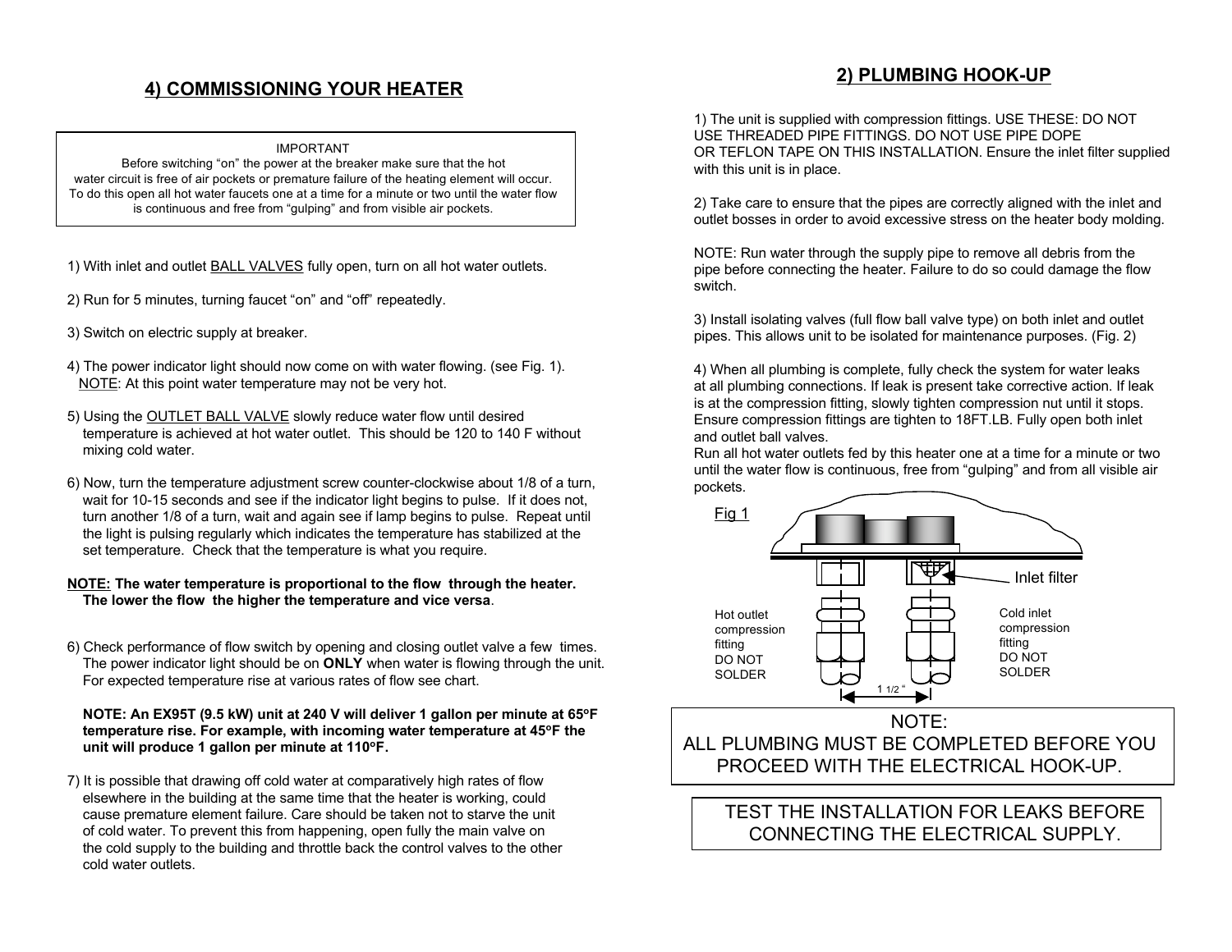# **4) COMMISSIONING YOUR HEATER**

#### IMPORTANT

Before switching "on" the power at the breaker make sure that the hot water circuit is free of air pockets or premature failure of the heating element will occur. To do this open all hot water faucets one at a time for a minute or two until the water flow is continuous and free from "gulping" and from visible air pockets.

- 1) With inlet and outlet BALL VALVES fully open, turn on all hot water outlets.
- 2) Run for 5 minutes, turning faucet "on" and "off" repeatedly.
- 3) Switch on electric supply at breaker.
- 4) The power indicator light should now come on with water flowing. (see Fig. 1). NOTE: At this point water temperature may not be very hot.
- 5) Using the OUTLET BALL VALVE slowly reduce water flow until desired temperature is achieved at hot water outlet. This should be 120 to 140 F without mixing cold water.
- 6) Now, turn the temperature adjustment screw counter-clockwise about 1/8 of a turn, wait for 10-15 seconds and see if the indicator light begins to pulse. If it does not, turn another 1/8 of a turn, wait and again see if lamp begins to pulse. Repeat until the light is pulsing regularly which indicates the temperature has stabilized at the set temperature. Check that the temperature is what you require.

#### **NOTE: The water temperature is proportional to the flow through the heater. The lower the flow the higher the temperature and vice versa**.

6) Check performance of flow switch by opening and closing outlet valve a few times. The power indicator light should be on **ONLY** when water is flowing through the unit. For expected temperature rise at various rates of flow see chart.

#### **NOTE: An EX95T (9.5 kW) unit at 240 V will deliver 1 gallon per minute at 65oF temperature rise. For example, with incoming water temperature at 45oF the unit will produce 1 gallon per minute at 110oF.**

7) It is possible that drawing off cold water at comparatively high rates of flow elsewhere in the building at the same time that the heater is working, could cause premature element failure. Care should be taken not to starve the unit of cold water. To prevent this from happening, open fully the main valve on the cold supply to the building and throttle back the control valves to the other cold water outlets.

### **2) PLUMBING HOOK-UP**

1) The unit is supplied with compression fittings. USE THESE: DO NOT USE THREADED PIPE FITTINGS. DO NOT USE PIPE DOPE OR TEFLON TAPE ON THIS INSTALLATION. Ensure the inlet filter supplied with this unit is in place.

2) Take care to ensure that the pipes are correctly aligned with the inlet and outlet bosses in order to avoid excessive stress on the heater body molding.

NOTE: Run water through the supply pipe to remove all debris from the pipe before connecting the heater. Failure to do so could damage the flow switch.

3) Install isolating valves (full flow ball valve type) on both inlet and outlet pipes. This allows unit to be isolated for maintenance purposes. (Fig. 2)

4) When all plumbing is complete, fully check the system for water leaks at all plumbing connections. If leak is present take corrective action. If leak is at the compression fitting, slowly tighten compression nut until it stops. Ensure compression fittings are tighten to 18FT.LB. Fully open both inlet and outlet ball valves.

Run all hot water outlets fed by this heater one at a time for a minute or two until the water flow is continuous, free from "gulping" and from all visible air pockets.



# TEST THE INSTALLATION FOR LEAKS BEFORE CONNECTING THE ELECTRICAL SUPPLY.